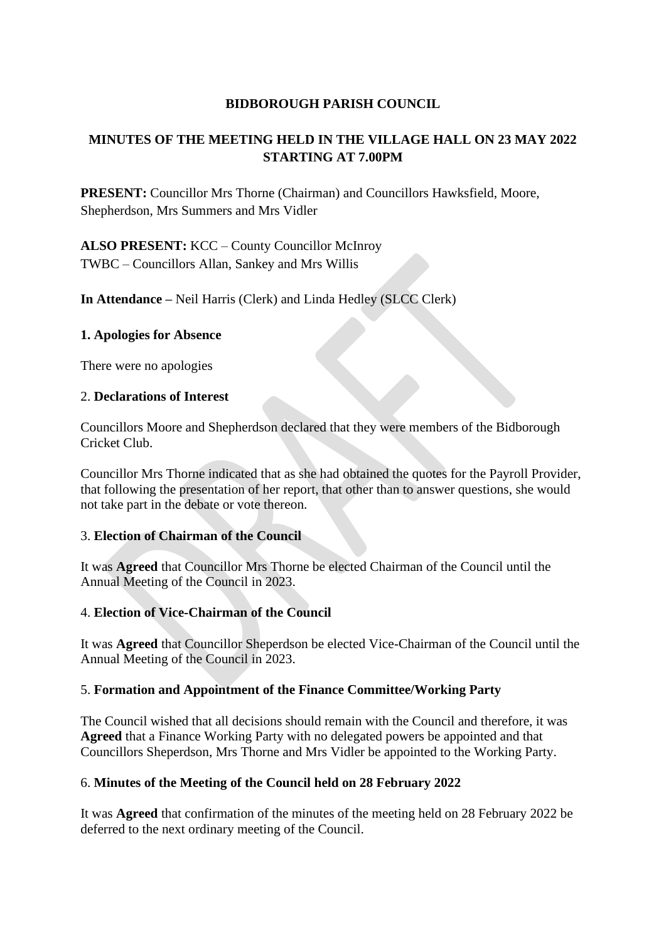## **BIDBOROUGH PARISH COUNCIL**

# **MINUTES OF THE MEETING HELD IN THE VILLAGE HALL ON 23 MAY 2022 STARTING AT 7.00PM**

**PRESENT:** Councillor Mrs Thorne (Chairman) and Councillors Hawksfield, Moore, Shepherdson, Mrs Summers and Mrs Vidler

**ALSO PRESENT:** KCC – County Councillor McInroy TWBC – Councillors Allan, Sankey and Mrs Willis

**In Attendance –** Neil Harris (Clerk) and Linda Hedley (SLCC Clerk)

### **1. Apologies for Absence**

There were no apologies

### 2. **Declarations of Interest**

Councillors Moore and Shepherdson declared that they were members of the Bidborough Cricket Club.

Councillor Mrs Thorne indicated that as she had obtained the quotes for the Payroll Provider, that following the presentation of her report, that other than to answer questions, she would not take part in the debate or vote thereon.

## 3. **Election of Chairman of the Council**

It was **Agreed** that Councillor Mrs Thorne be elected Chairman of the Council until the Annual Meeting of the Council in 2023.

## 4. **Election of Vice-Chairman of the Council**

It was **Agreed** that Councillor Sheperdson be elected Vice-Chairman of the Council until the Annual Meeting of the Council in 2023.

## 5. **Formation and Appointment of the Finance Committee/Working Party**

The Council wished that all decisions should remain with the Council and therefore, it was **Agreed** that a Finance Working Party with no delegated powers be appointed and that Councillors Sheperdson, Mrs Thorne and Mrs Vidler be appointed to the Working Party.

## 6. **Minutes of the Meeting of the Council held on 28 February 2022**

It was **Agreed** that confirmation of the minutes of the meeting held on 28 February 2022 be deferred to the next ordinary meeting of the Council.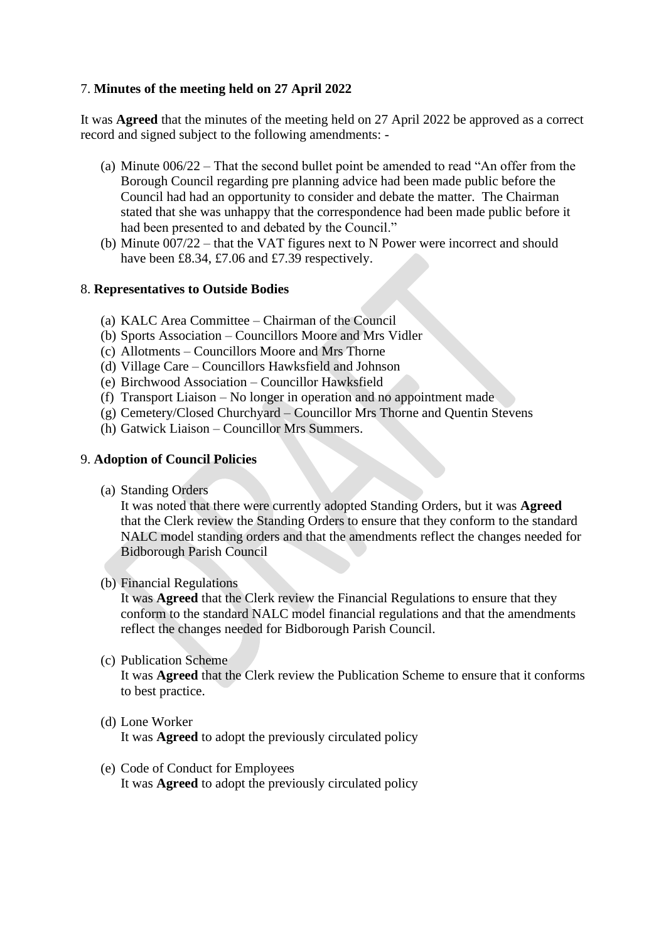## 7. **Minutes of the meeting held on 27 April 2022**

It was **Agreed** that the minutes of the meeting held on 27 April 2022 be approved as a correct record and signed subject to the following amendments: -

- (a) Minute 006/22 That the second bullet point be amended to read "An offer from the Borough Council regarding pre planning advice had been made public before the Council had had an opportunity to consider and debate the matter. The Chairman stated that she was unhappy that the correspondence had been made public before it had been presented to and debated by the Council."
- (b) Minute 007/22 that the VAT figures next to N Power were incorrect and should have been £8.34, £7.06 and £7.39 respectively.

### 8. **Representatives to Outside Bodies**

- (a) KALC Area Committee Chairman of the Council
- (b) Sports Association Councillors Moore and Mrs Vidler
- (c) Allotments Councillors Moore and Mrs Thorne
- (d) Village Care Councillors Hawksfield and Johnson
- (e) Birchwood Association Councillor Hawksfield
- (f) Transport Liaison No longer in operation and no appointment made
- (g) Cemetery/Closed Churchyard Councillor Mrs Thorne and Quentin Stevens
- (h) Gatwick Liaison Councillor Mrs Summers.

### 9. **Adoption of Council Policies**

(a) Standing Orders

It was noted that there were currently adopted Standing Orders, but it was **Agreed** that the Clerk review the Standing Orders to ensure that they conform to the standard NALC model standing orders and that the amendments reflect the changes needed for Bidborough Parish Council

### (b) Financial Regulations

It was **Agreed** that the Clerk review the Financial Regulations to ensure that they conform to the standard NALC model financial regulations and that the amendments reflect the changes needed for Bidborough Parish Council.

(c) Publication Scheme

It was **Agreed** that the Clerk review the Publication Scheme to ensure that it conforms to best practice.

(d) Lone Worker

It was **Agreed** to adopt the previously circulated policy

(e) Code of Conduct for Employees It was **Agreed** to adopt the previously circulated policy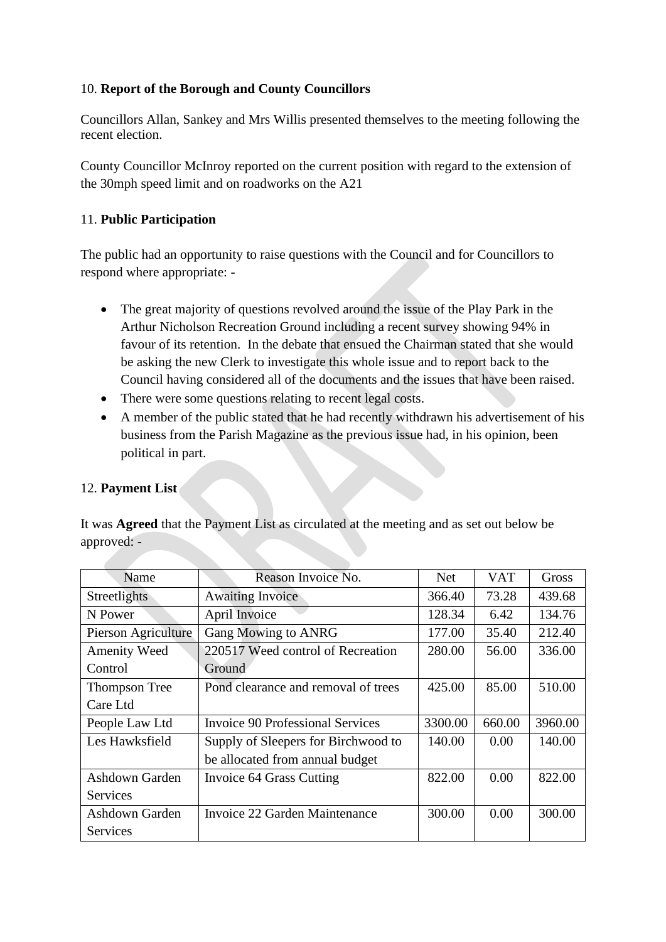## 10. **Report of the Borough and County Councillors**

Councillors Allan, Sankey and Mrs Willis presented themselves to the meeting following the recent election.

County Councillor McInroy reported on the current position with regard to the extension of the 30mph speed limit and on roadworks on the A21

## 11. **Public Participation**

The public had an opportunity to raise questions with the Council and for Councillors to respond where appropriate: -

- The great majority of questions revolved around the issue of the Play Park in the Arthur Nicholson Recreation Ground including a recent survey showing 94% in favour of its retention. In the debate that ensued the Chairman stated that she would be asking the new Clerk to investigate this whole issue and to report back to the Council having considered all of the documents and the issues that have been raised.
- There were some questions relating to recent legal costs.
- A member of the public stated that he had recently withdrawn his advertisement of his business from the Parish Magazine as the previous issue had, in his opinion, been political in part.

## 12. **Payment List**

It was **Agreed** that the Payment List as circulated at the meeting and as set out below be approved: -

| Name                  | Reason Invoice No.                      | Net     | <b>VAT</b> | Gross   |
|-----------------------|-----------------------------------------|---------|------------|---------|
| Streetlights          | <b>Awaiting Invoice</b>                 | 366.40  | 73.28      | 439.68  |
| N Power               | April Invoice                           | 128.34  | 6.42       | 134.76  |
| Pierson Agriculture   | <b>Gang Mowing to ANRG</b>              | 177.00  | 35.40      | 212.40  |
| <b>Amenity Weed</b>   | 220517 Weed control of Recreation       | 280.00  | 56.00      | 336.00  |
| Control               | Ground                                  |         |            |         |
| <b>Thompson Tree</b>  | Pond clearance and removal of trees     | 425.00  | 85.00      | 510.00  |
| Care Ltd              |                                         |         |            |         |
| People Law Ltd        | <b>Invoice 90 Professional Services</b> | 3300.00 | 660.00     | 3960.00 |
| Les Hawksfield        | Supply of Sleepers for Birchwood to     | 140.00  | 0.00       | 140.00  |
|                       | be allocated from annual budget         |         |            |         |
| Ashdown Garden        | Invoice 64 Grass Cutting                | 822.00  | 0.00       | 822.00  |
| Services              |                                         |         |            |         |
| <b>Ashdown Garden</b> | Invoice 22 Garden Maintenance           | 300.00  | 0.00       | 300.00  |
| Services              |                                         |         |            |         |